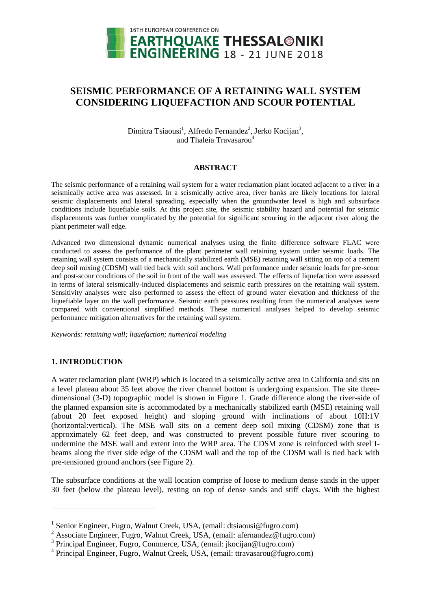

# **SEISMIC PERFORMANCE OF A RETAINING WALL SYSTEM CONSIDERING LIQUEFACTION AND SCOUR POTENTIAL**

Dimitra Tsiaousi<sup>1</sup>, Alfredo Fernandez<sup>2</sup>, Jerko Kocijan<sup>3</sup>, and Thaleia Travasarou<sup>4</sup>

#### **ABSTRACT**

The seismic performance of a retaining wall system for a water reclamation plant located adjacent to a river in a seismically active area was assessed. In a seismically active area, river banks are likely locations for lateral seismic displacements and lateral spreading, especially when the groundwater level is high and subsurface conditions include liquefiable soils. At this project site, the seismic stability hazard and potential for seismic displacements was further complicated by the potential for significant scouring in the adjacent river along the plant perimeter wall edge.

Advanced two dimensional dynamic numerical analyses using the finite difference software FLAC were conducted to assess the performance of the plant perimeter wall retaining system under seismic loads. The retaining wall system consists of a mechanically stabilized earth (MSE) retaining wall sitting on top of a cement deep soil mixing (CDSM) wall tied back with soil anchors. Wall performance under seismic loads for pre-scour and post-scour conditions of the soil in front of the wall was assessed. The effects of liquefaction were assessed in terms of lateral seismically-induced displacements and seismic earth pressures on the retaining wall system. Sensitivity analyses were also performed to assess the effect of ground water elevation and thickness of the liquefiable layer on the wall performance. Seismic earth pressures resulting from the numerical analyses were compared with conventional simplified methods. These numerical analyses helped to develop seismic performance mitigation alternatives for the retaining wall system.

*Keywords: retaining wall; liquefaction; numerical modeling*

## **1. INTRODUCTION**

 $\overline{a}$ 

A water reclamation plant (WRP) which is located in a seismically active area in California and sits on a level plateau about 35 feet above the river channel bottom is undergoing expansion. The site threedimensional (3-D) topographic model is shown in Figure 1. Grade difference along the river-side of the planned expansion site is accommodated by a mechanically stabilized earth (MSE) retaining wall (about 20 feet exposed height) and sloping ground with inclinations of about 10H:1V (horizontal:vertical). The MSE wall sits on a cement deep soil mixing (CDSM) zone that is approximately 62 feet deep, and was constructed to prevent possible future river scouring to undermine the MSE wall and extent into the WRP area. The CDSM zone is reinforced with steel Ibeams along the river side edge of the CDSM wall and the top of the CDSM wall is tied back with pre-tensioned ground anchors (see Figure 2).

The subsurface conditions at the wall location comprise of loose to medium dense sands in the upper 30 feet (below the plateau level), resting on top of dense sands and stiff clays. With the highest

<sup>&</sup>lt;sup>1</sup> Senior Engineer, Fugro, Walnut Creek, USA, (email: dtsiaousi@fugro.com)

<sup>&</sup>lt;sup>2</sup> Associate Engineer, Fugro, Walnut Creek, USA, (email: afernandez@fugro.com)

<sup>&</sup>lt;sup>3</sup> Principal Engineer, Fugro, Commerce, USA, (email: jkocijan@fugro.com)

<sup>4</sup> Principal Engineer, Fugro, Walnut Creek, USA, (email: ttravasarou@fugro.com)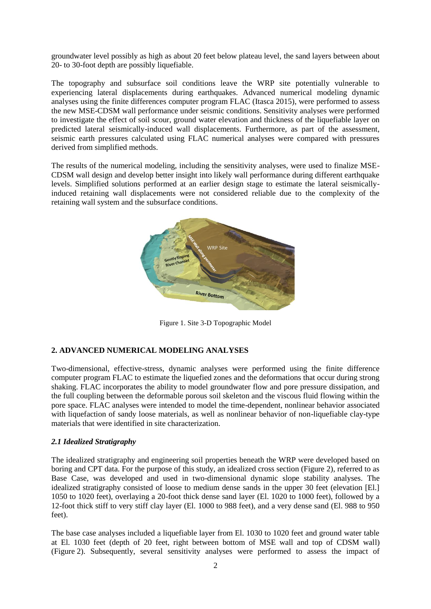groundwater level possibly as high as about 20 feet below plateau level, the sand layers between about 20- to 30-foot depth are possibly liquefiable.

The topography and subsurface soil conditions leave the WRP site potentially vulnerable to experiencing lateral displacements during earthquakes. Advanced numerical modeling dynamic analyses using the finite differences computer program FLAC (Itasca 2015), were performed to assess the new MSE-CDSM wall performance under seismic conditions. Sensitivity analyses were performed to investigate the effect of soil scour, ground water elevation and thickness of the liquefiable layer on predicted lateral seismically-induced wall displacements. Furthermore, as part of the assessment, seismic earth pressures calculated using FLAC numerical analyses were compared with pressures derived from simplified methods.

The results of the numerical modeling, including the sensitivity analyses, were used to finalize MSE-CDSM wall design and develop better insight into likely wall performance during different earthquake levels. Simplified solutions performed at an earlier design stage to estimate the lateral seismicallyinduced retaining wall displacements were not considered reliable due to the complexity of the retaining wall system and the subsurface conditions.



Figure 1. Site 3-D Topographic Model

## **2. ADVANCED NUMERICAL MODELING ANALYSES**

Two-dimensional, effective-stress, dynamic analyses were performed using the finite difference computer program FLAC to estimate the liquefied zones and the deformations that occur during strong shaking. FLAC incorporates the ability to model groundwater flow and pore pressure dissipation, and the full coupling between the deformable porous soil skeleton and the viscous fluid flowing within the pore space. FLAC analyses were intended to model the time-dependent, nonlinear behavior associated with liquefaction of sandy loose materials, as well as nonlinear behavior of non-liquefiable clay-type materials that were identified in site characterization.

## *2.1 Idealized Stratigraphy*

The idealized stratigraphy and engineering soil properties beneath the WRP were developed based on boring and CPT data. For the purpose of this study, an idealized cross section (Figure 2), referred to as Base Case, was developed and used in two-dimensional dynamic slope stability analyses. The idealized stratigraphy consisted of loose to medium dense sands in the upper 30 feet (elevation [El.] 1050 to 1020 feet), overlaying a 20-foot thick dense sand layer (El. 1020 to 1000 feet), followed by a 12-foot thick stiff to very stiff clay layer (El. 1000 to 988 feet), and a very dense sand (El. 988 to 950 feet).

The base case analyses included a liquefiable layer from El. 1030 to 1020 feet and ground water table at El. 1030 feet (depth of 20 feet, right between bottom of MSE wall and top of CDSM wall) (Figure 2). Subsequently, several sensitivity analyses were performed to assess the impact of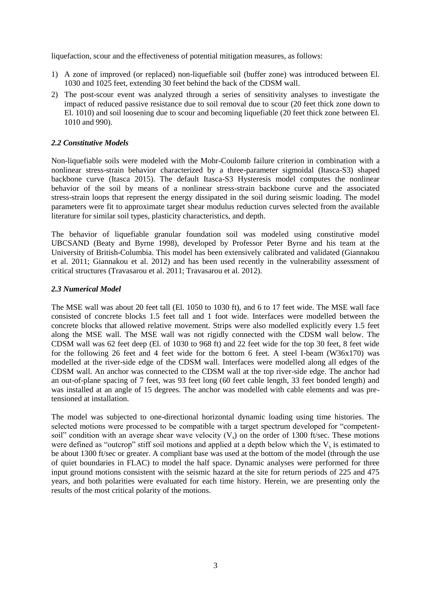liquefaction, scour and the effectiveness of potential mitigation measures, as follows:

- 1) A zone of improved (or replaced) non-liquefiable soil (buffer zone) was introduced between El. 1030 and 1025 feet, extending 30 feet behind the back of the CDSM wall.
- 2) The post-scour event was analyzed through a series of sensitivity analyses to investigate the impact of reduced passive resistance due to soil removal due to scour (20 feet thick zone down to El. 1010) and soil loosening due to scour and becoming liquefiable (20 feet thick zone between El. 1010 and 990).

## *2.2 Constitutive Models*

Non-liquefiable soils were modeled with the Mohr-Coulomb failure criterion in combination with a nonlinear stress-strain behavior characterized by a three-parameter sigmoidal (Itasca-S3) shaped backbone curve (Itasca 2015). The default Itasca-S3 Hysteresis model computes the nonlinear behavior of the soil by means of a nonlinear stress-strain backbone curve and the associated stress-strain loops that represent the energy dissipated in the soil during seismic loading. The model parameters were fit to approximate target shear modulus reduction curves selected from the available literature for similar soil types, plasticity characteristics, and depth.

The behavior of liquefiable granular foundation soil was modeled using constitutive model UBCSAND (Beaty and Byrne 1998), developed by Professor Peter Byrne and his team at the University of British-Columbia. This model has been extensively calibrated and validated (Giannakou et al. 2011; Giannakou et al. 2012) and has been used recently in the vulnerability assessment of critical structures (Travasarou et al. 2011; Travasarou et al. 2012).

## *2.3 Numerical Model*

The MSE wall was about 20 feet tall (El. 1050 to 1030 ft), and 6 to 17 feet wide. The MSE wall face consisted of concrete blocks 1.5 feet tall and 1 foot wide. Interfaces were modelled between the concrete blocks that allowed relative movement. Strips were also modelled explicitly every 1.5 feet along the MSE wall. The MSE wall was not rigidly connected with the CDSM wall below. The CDSM wall was 62 feet deep (El. of 1030 to 968 ft) and 22 feet wide for the top 30 feet, 8 feet wide for the following 26 feet and 4 feet wide for the bottom 6 feet. A steel I-beam (W36x170) was modelled at the river-side edge of the CDSM wall. Interfaces were modelled along all edges of the CDSM wall. An anchor was connected to the CDSM wall at the top river-side edge. The anchor had an out-of-plane spacing of 7 feet, was 93 feet long (60 feet cable length, 33 feet bonded length) and was installed at an angle of 15 degrees. The anchor was modelled with cable elements and was pretensioned at installation.

The model was subjected to one-directional horizontal dynamic loading using time histories. The selected motions were processed to be compatible with a target spectrum developed for "competentsoil" condition with an average shear wave velocity  $(V_s)$  on the order of 1300 ft/sec. These motions were defined as "outcrop" stiff soil motions and applied at a depth below which the  $V_s$  is estimated to be about 1300 ft/sec or greater. A compliant base was used at the bottom of the model (through the use of quiet boundaries in FLAC) to model the half space. Dynamic analyses were performed for three input ground motions consistent with the seismic hazard at the site for return periods of 225 and 475 years, and both polarities were evaluated for each time history. Herein, we are presenting only the results of the most critical polarity of the motions.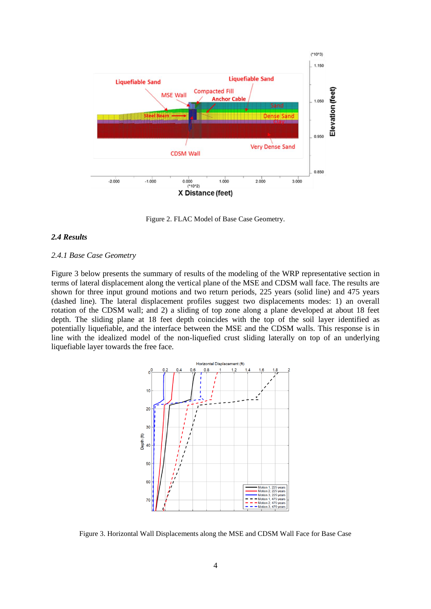

Figure 2. FLAC Model of Base Case Geometry.

#### *2.4 Results*

#### *2.4.1 Base Case Geometry*

Figure 3 below presents the summary of results of the modeling of the WRP representative section in terms of lateral displacement along the vertical plane of the MSE and CDSM wall face. The results are shown for three input ground motions and two return periods, 225 years (solid line) and 475 years (dashed line). The lateral displacement profiles suggest two displacements modes: 1) an overall rotation of the CDSM wall; and 2) a sliding of top zone along a plane developed at about 18 feet depth. The sliding plane at 18 feet depth coincides with the top of the soil layer identified as potentially liquefiable, and the interface between the MSE and the CDSM walls. This response is in line with the idealized model of the non-liquefied crust sliding laterally on top of an underlying liquefiable layer towards the free face.



Figure 3. Horizontal Wall Displacements along the MSE and CDSM Wall Face for Base Case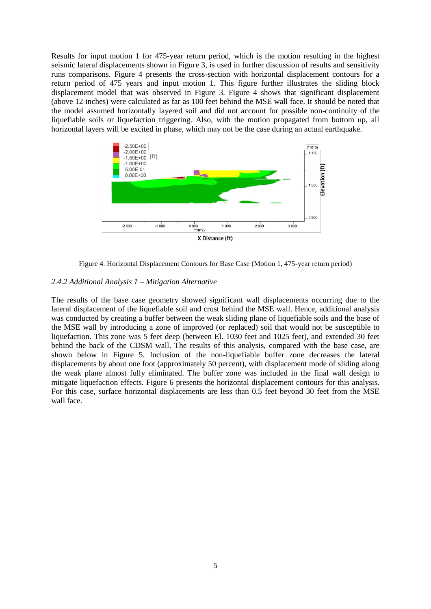Results for input motion 1 for 475-year return period, which is the motion resulting in the highest seismic lateral displacements shown in Figure 3, is used in further discussion of results and sensitivity runs comparisons. Figure 4 presents the cross-section with horizontal displacement contours for a return period of 475 years and input motion 1. This figure further illustrates the sliding block displacement model that was observed in Figure 3. Figure 4 shows that significant displacement (above 12 inches) were calculated as far as 100 feet behind the MSE wall face. It should be noted that the model assumed horizontally layered soil and did not account for possible non-continuity of the liquefiable soils or liquefaction triggering. Also, with the motion propagated from bottom up, all horizontal layers will be excited in phase, which may not be the case during an actual earthquake.



Figure 4. Horizontal Displacement Contours for Base Case (Motion 1, 475-year return period)

#### *2.4.2 Additional Analysis 1 – Mitigation Alternative*

The results of the base case geometry showed significant wall displacements occurring due to the lateral displacement of the liquefiable soil and crust behind the MSE wall. Hence, additional analysis was conducted by creating a buffer between the weak sliding plane of liquefiable soils and the base of the MSE wall by introducing a zone of improved (or replaced) soil that would not be susceptible to liquefaction. This zone was 5 feet deep (between El. 1030 feet and 1025 feet), and extended 30 feet behind the back of the CDSM wall. The results of this analysis, compared with the base case, are shown below in Figure 5. Inclusion of the non-liquefiable buffer zone decreases the lateral displacements by about one foot (approximately 50 percent), with displacement mode of sliding along the weak plane almost fully eliminated. The buffer zone was included in the final wall design to mitigate liquefaction effects. Figure 6 presents the horizontal displacement contours for this analysis. For this case, surface horizontal displacements are less than 0.5 feet beyond 30 feet from the MSE wall face.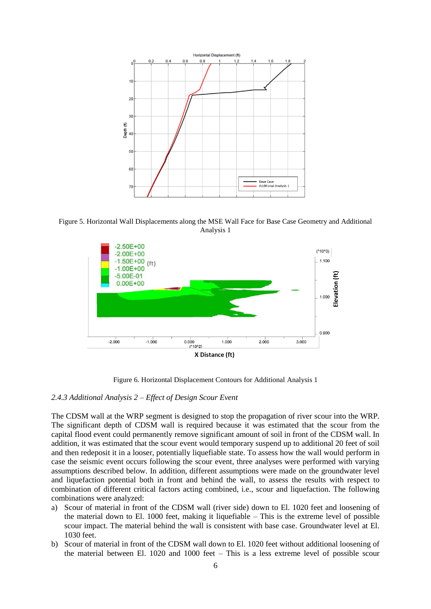

Figure 5. Horizontal Wall Displacements along the MSE Wall Face for Base Case Geometry and Additional Analysis 1



Figure 6. Horizontal Displacement Contours for Additional Analysis 1

#### *2.4.3 Additional Analysis 2 – Effect of Design Scour Event*

The CDSM wall at the WRP segment is designed to stop the propagation of river scour into the WRP. The significant depth of CDSM wall is required because it was estimated that the scour from the capital flood event could permanently remove significant amount of soil in front of the CDSM wall. In addition, it was estimated that the scour event would temporary suspend up to additional 20 feet of soil and then redeposit it in a looser, potentially liquefiable state. To assess how the wall would perform in case the seismic event occurs following the scour event, three analyses were performed with varying assumptions described below. In addition, different assumptions were made on the groundwater level and liquefaction potential both in front and behind the wall, to assess the results with respect to combination of different critical factors acting combined, i.e., scour and liquefaction. The following combinations were analyzed:

- a) Scour of material in front of the CDSM wall (river side) down to El. 1020 feet and loosening of the material down to El. 1000 feet, making it liquefiable – This is the extreme level of possible scour impact. The material behind the wall is consistent with base case. Groundwater level at El. 1030 feet.
- b) Scour of material in front of the CDSM wall down to El. 1020 feet without additional loosening of the material between El. 1020 and 1000 feet – This is a less extreme level of possible scour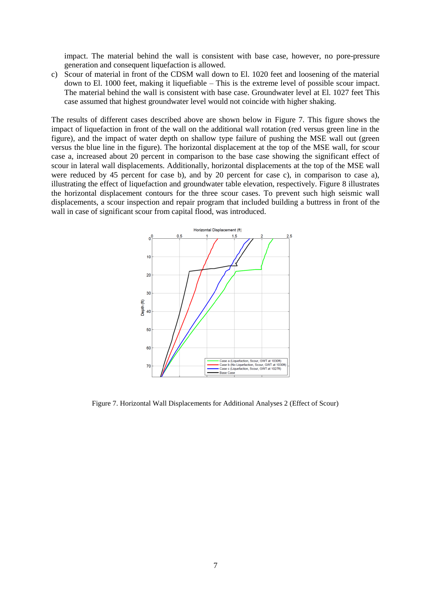impact. The material behind the wall is consistent with base case, however, no pore-pressure generation and consequent liquefaction is allowed.

c) Scour of material in front of the CDSM wall down to El. 1020 feet and loosening of the material down to El. 1000 feet, making it liquefiable – This is the extreme level of possible scour impact. The material behind the wall is consistent with base case. Groundwater level at El. 1027 feet This case assumed that highest groundwater level would not coincide with higher shaking.

The results of different cases described above are shown below in Figure 7. This figure shows the impact of liquefaction in front of the wall on the additional wall rotation (red versus green line in the figure), and the impact of water depth on shallow type failure of pushing the MSE wall out (green versus the blue line in the figure). The horizontal displacement at the top of the MSE wall, for scour case a, increased about 20 percent in comparison to the base case showing the significant effect of scour in lateral wall displacements. Additionally, horizontal displacements at the top of the MSE wall were reduced by 45 percent for case b), and by 20 percent for case c), in comparison to case a), illustrating the effect of liquefaction and groundwater table elevation, respectively. Figure 8 illustrates the horizontal displacement contours for the three scour cases. To prevent such high seismic wall displacements, a scour inspection and repair program that included building a buttress in front of the wall in case of significant scour from capital flood, was introduced.



Figure 7. Horizontal Wall Displacements for Additional Analyses 2 (Effect of Scour)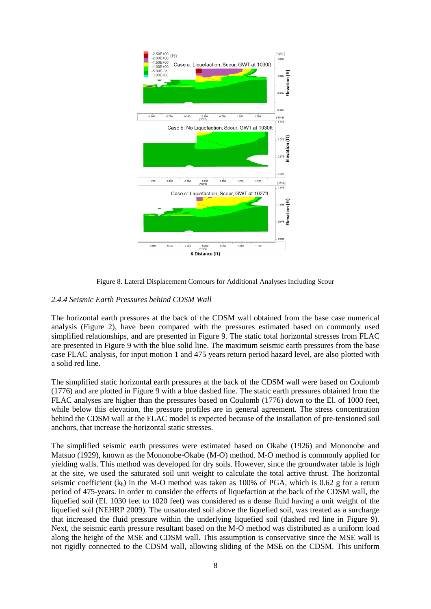

Figure 8. Lateral Displacement Contours for Additional Analyses Including Scour

## *2.4.4 Seismic Earth Pressures behind CDSM Wall*

The horizontal earth pressures at the back of the CDSM wall obtained from the base case numerical analysis (Figure 2), have been compared with the pressures estimated based on commonly used simplified relationships, and are presented in Figure 9. The static total horizontal stresses from FLAC are presented in Figure 9 with the blue solid line. The maximum seismic earth pressures from the base case FLAC analysis, for input motion 1 and 475 years return period hazard level, are also plotted with a solid red line.

The simplified static horizontal earth pressures at the back of the CDSM wall were based on Coulomb (1776) and are plotted in Figure 9 with a blue dashed line. The static earth pressures obtained from the FLAC analyses are higher than the pressures based on Coulomb (1776) down to the El. of 1000 feet, while below this elevation, the pressure profiles are in general agreement. The stress concentration behind the CDSM wall at the FLAC model is expected because of the installation of pre-tensioned soil anchors, that increase the horizontal static stresses.

The simplified seismic earth pressures were estimated based on Okabe (1926) and Mononobe and Matsuo (1929), known as the Mononobe-Okabe (M-O) method. M-O method is commonly applied for yielding walls. This method was developed for dry soils. However, since the groundwater table is high at the site, we used the saturated soil unit weight to calculate the total active thrust. The horizontal seismic coefficient  $(k_h)$  in the M-O method was taken as 100% of PGA, which is 0.62 g for a return period of 475-years. In order to consider the effects of liquefaction at the back of the CDSM wall, the liquefied soil (El. 1030 feet to 1020 feet) was considered as a dense fluid having a unit weight of the liquefied soil (NEHRP 2009). The unsaturated soil above the liquefied soil, was treated as a surcharge that increased the fluid pressure within the underlying liquefied soil (dashed red line in Figure 9). Next, the seismic earth pressure resultant based on the M-O method was distributed as a uniform load along the height of the MSE and CDSM wall. This assumption is conservative since the MSE wall is not rigidly connected to the CDSM wall, allowing sliding of the MSE on the CDSM. This uniform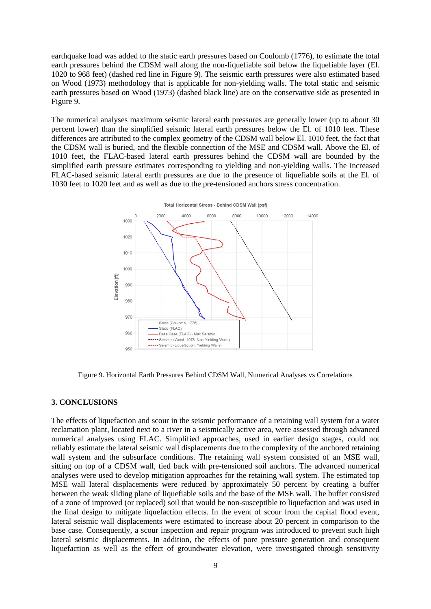earthquake load was added to the static earth pressures based on Coulomb (1776), to estimate the total earth pressures behind the CDSM wall along the non-liquefiable soil below the liquefiable layer (El. 1020 to 968 feet) (dashed red line in Figure 9). The seismic earth pressures were also estimated based on Wood (1973) methodology that is applicable for non-yielding walls. The total static and seismic earth pressures based on Wood (1973) (dashed black line) are on the conservative side as presented in Figure 9.

The numerical analyses maximum seismic lateral earth pressures are generally lower (up to about 30 percent lower) than the simplified seismic lateral earth pressures below the El. of 1010 feet. These differences are attributed to the complex geometry of the CDSM wall below El. 1010 feet, the fact that the CDSM wall is buried, and the flexible connection of the MSE and CDSM wall. Above the El. of 1010 feet, the FLAC-based lateral earth pressures behind the CDSM wall are bounded by the simplified earth pressure estimates corresponding to yielding and non-yielding walls. The increased FLAC-based seismic lateral earth pressures are due to the presence of liquefiable soils at the El. of 1030 feet to 1020 feet and as well as due to the pre-tensioned anchors stress concentration.



Figure 9. Horizontal Earth Pressures Behind CDSM Wall, Numerical Analyses vs Correlations

### **3. CONCLUSIONS**

The effects of liquefaction and scour in the seismic performance of a retaining wall system for a water reclamation plant, located next to a river in a seismically active area, were assessed through advanced numerical analyses using FLAC. Simplified approaches, used in earlier design stages, could not reliably estimate the lateral seismic wall displacements due to the complexity of the anchored retaining wall system and the subsurface conditions. The retaining wall system consisted of an MSE wall, sitting on top of a CDSM wall, tied back with pre-tensioned soil anchors. The advanced numerical analyses were used to develop mitigation approaches for the retaining wall system. The estimated top MSE wall lateral displacements were reduced by approximately 50 percent by creating a buffer between the weak sliding plane of liquefiable soils and the base of the MSE wall. The buffer consisted of a zone of improved (or replaced) soil that would be non-susceptible to liquefaction and was used in the final design to mitigate liquefaction effects. In the event of scour from the capital flood event, lateral seismic wall displacements were estimated to increase about 20 percent in comparison to the base case. Consequently, a scour inspection and repair program was introduced to prevent such high lateral seismic displacements. In addition, the effects of pore pressure generation and consequent liquefaction as well as the effect of groundwater elevation, were investigated through sensitivity